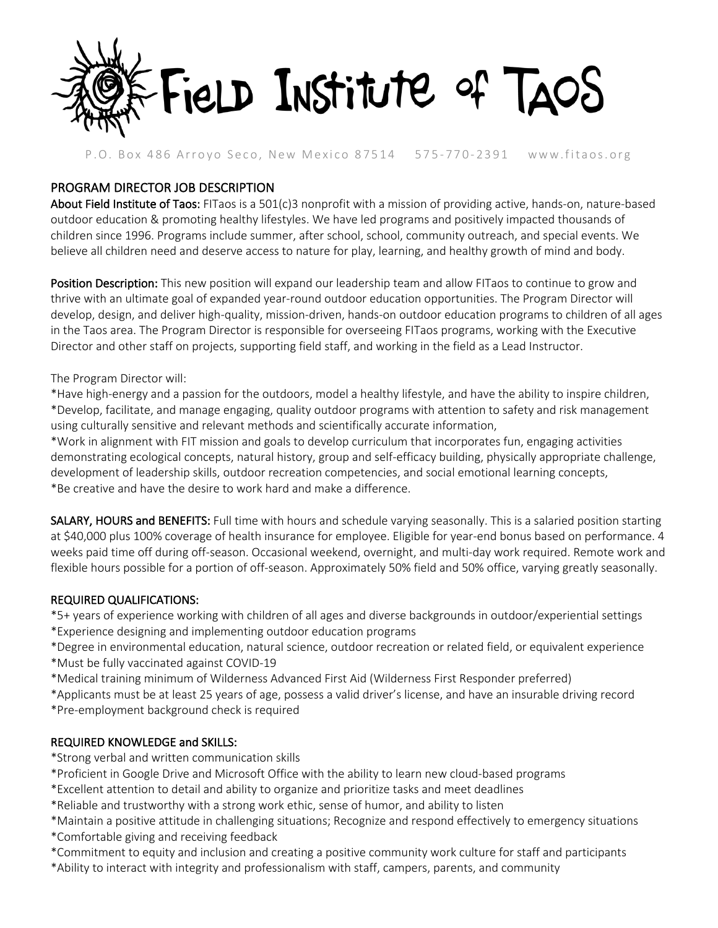

### P.O. Box 486 Arroyo Seco, New Mexico 87514 575 - 770- 2391 www.fitaos.org

## PROGRAM DIRECTOR JOB DESCRIPTION

About Field Institute of Taos: FITaos is a 501(c)3 nonprofit with a mission of providing active, hands-on, nature-based outdoor education & promoting healthy lifestyles. We have led programs and positively impacted thousands of children since 1996. Programs include summer, after school, school, community outreach, and special events. We believe all children need and deserve access to nature for play, learning, and healthy growth of mind and body.

Position Description: This new position will expand our leadership team and allow FITaos to continue to grow and thrive with an ultimate goal of expanded year-round outdoor education opportunities. The Program Director will develop, design, and deliver high-quality, mission-driven, hands-on outdoor education programs to children of all ages in the Taos area. The Program Director is responsible for overseeing FITaos programs, working with the Executive Director and other staff on projects, supporting field staff, and working in the field as a Lead Instructor.

The Program Director will:

\*Have high-energy and a passion for the outdoors, model a healthy lifestyle, and have the ability to inspire children, \*Develop, facilitate, and manage engaging, quality outdoor programs with attention to safety and risk management using culturally sensitive and relevant methods and scientifically accurate information,

\*Work in alignment with FIT mission and goals to develop curriculum that incorporates fun, engaging activities demonstrating ecological concepts, natural history, group and self-efficacy building, physically appropriate challenge, development of leadership skills, outdoor recreation competencies, and social emotional learning concepts, \*Be creative and have the desire to work hard and make a difference.

SALARY, HOURS and BENEFITS: Full time with hours and schedule varying seasonally. This is a salaried position starting at \$40,000 plus 100% coverage of health insurance for employee. Eligible for year-end bonus based on performance. 4 weeks paid time off during off-season. Occasional weekend, overnight, and multi-day work required. Remote work and flexible hours possible for a portion of off-season. Approximately 50% field and 50% office, varying greatly seasonally.

#### REQUIRED QUALIFICATIONS:

\*5+ years of experience working with children of all ages and diverse backgrounds in outdoor/experiential settings \*Experience designing and implementing outdoor education programs

- \*Degree in environmental education, natural science, outdoor recreation or related field, or equivalent experience
- \*Must be fully vaccinated against COVID-19
- \*Medical training minimum of Wilderness Advanced First Aid (Wilderness First Responder preferred)
- \*Applicants must be at least 25 years of age, possess a valid driver's license, and have an insurable driving record
- \*Pre-employment background check is required

### REQUIRED KNOWLEDGE and SKILLS:

- \*Strong verbal and written communication skills
- \*Proficient in Google Drive and Microsoft Office with the ability to learn new cloud-based programs
- \*Excellent attention to detail and ability to organize and prioritize tasks and meet deadlines
- \*Reliable and trustworthy with a strong work ethic, sense of humor, and ability to listen
- \*Maintain a positive attitude in challenging situations; Recognize and respond effectively to emergency situations
- \*Comfortable giving and receiving feedback
- \*Commitment to equity and inclusion and creating a positive community work culture for staff and participants
- \*Ability to interact with integrity and professionalism with staff, campers, parents, and community